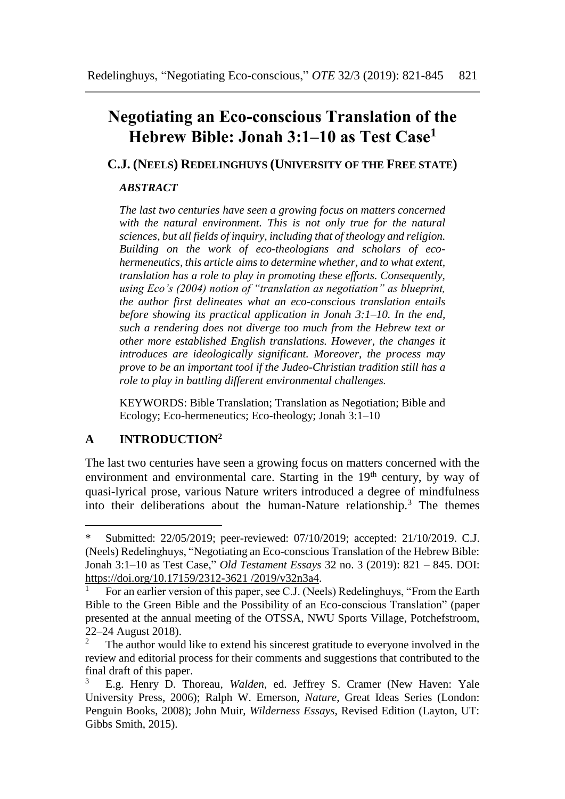# **Negotiating an Eco-conscious Translation of the Hebrew Bible: Jonah 3:1–10 as Test Case<sup>1</sup>**

**C.J. (NEELS) REDELINGHUYS (UNIVERSITY OF THE FREE STATE)**

#### *ABSTRACT*

*The last two centuries have seen a growing focus on matters concerned with the natural environment. This is not only true for the natural sciences, but all fields of inquiry, including that of theology and religion. Building on the work of eco-theologians and scholars of ecohermeneutics, this article aims to determine whether, and to what extent, translation has a role to play in promoting these efforts. Consequently, using Eco's (2004) notion of "translation as negotiation" as blueprint, the author first delineates what an eco-conscious translation entails before showing its practical application in Jonah 3:1–10. In the end, such a rendering does not diverge too much from the Hebrew text or other more established English translations. However, the changes it introduces are ideologically significant. Moreover, the process may prove to be an important tool if the Judeo-Christian tradition still has a role to play in battling different environmental challenges.*

KEYWORDS: Bible Translation; Translation as Negotiation; Bible and Ecology; Eco-hermeneutics; Eco-theology; Jonah 3:1–10

# **A INTRODUCTION<sup>2</sup>**

 $\overline{a}$ 

The last two centuries have seen a growing focus on matters concerned with the environment and environmental care. Starting in the  $19<sup>th</sup>$  century, by way of quasi-lyrical prose, various Nature writers introduced a degree of mindfulness into their deliberations about the human-Nature relationship.<sup>3</sup> The themes

<sup>\*</sup> Submitted: 22/05/2019; peer-reviewed: 07/10/2019; accepted: 21/10/2019. C.J. (Neels) Redelinghuys, "Negotiating an Eco-conscious Translation of the Hebrew Bible: Jonah 3:1–10 as Test Case," *Old Testament Essays* 32 no. 3 (2019): 821 – 845. DOI: [https://doi.org/10.17159/2312-3621 /2019/v32n3a4.](https://doi.org/10.17159/2312-3621%20/2019/v32n3a4)

<sup>1</sup> For an earlier version of this paper, see C.J. (Neels) Redelinghuys, "From the Earth Bible to the Green Bible and the Possibility of an Eco-conscious Translation" (paper presented at the annual meeting of the OTSSA, NWU Sports Village, Potchefstroom, 22–24 August 2018).

The author would like to extend his sincerest gratitude to everyone involved in the review and editorial process for their comments and suggestions that contributed to the final draft of this paper.

<sup>3</sup> E.g. Henry D. Thoreau, *Walden*, ed. Jeffrey S. Cramer (New Haven: Yale University Press, 2006); Ralph W. Emerson, *Nature*, Great Ideas Series (London: Penguin Books, 2008); John Muir, *Wilderness Essays*, Revised Edition (Layton, UT: Gibbs Smith, 2015).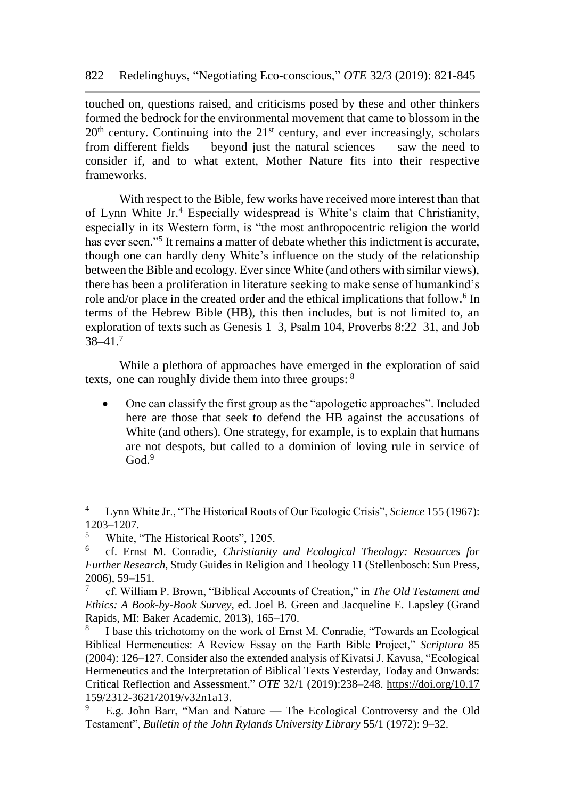touched on, questions raised, and criticisms posed by these and other thinkers formed the bedrock for the environmental movement that came to blossom in the  $20<sup>th</sup>$  century. Continuing into the  $21<sup>st</sup>$  century, and ever increasingly, scholars from different fields — beyond just the natural sciences — saw the need to consider if, and to what extent, Mother Nature fits into their respective frameworks.

With respect to the Bible, few works have received more interest than that of Lynn White Jr.<sup>4</sup> Especially widespread is White's claim that Christianity, especially in its Western form, is "the most anthropocentric religion the world has ever seen."<sup>5</sup> It remains a matter of debate whether this indictment is accurate, though one can hardly deny White's influence on the study of the relationship between the Bible and ecology. Ever since White (and others with similar views), there has been a proliferation in literature seeking to make sense of humankind's role and/or place in the created order and the ethical implications that follow.<sup>6</sup> In terms of the Hebrew Bible (HB), this then includes, but is not limited to, an exploration of texts such as Genesis 1–3, Psalm 104, Proverbs 8:22–31, and Job  $38-41.7$ 

While a plethora of approaches have emerged in the exploration of said texts, one can roughly divide them into three groups: <sup>8</sup>

 One can classify the first group as the "apologetic approaches". Included here are those that seek to defend the HB against the accusations of White (and others). One strategy, for example, is to explain that humans are not despots, but called to a dominion of loving rule in service of  $God.<sup>9</sup>$ 

<sup>4</sup> Lynn White Jr., "The Historical Roots of Our Ecologic Crisis", *Science* 155 (1967): 1203–1207.

<sup>5</sup> White, "The Historical Roots", 1205.

<sup>6</sup> cf. Ernst M. Conradie, *Christianity and Ecological Theology: Resources for Further Research*, Study Guides in Religion and Theology 11 (Stellenbosch: Sun Press, 2006), 59–151.

<sup>7</sup> cf. William P. Brown, "Biblical Accounts of Creation," in *The Old Testament and Ethics: A Book-by-Book Survey*, ed. Joel B. Green and Jacqueline E. Lapsley (Grand Rapids, MI: Baker Academic, 2013), 165–170.

<sup>8</sup> I base this trichotomy on the work of Ernst M. Conradie, "Towards an Ecological Biblical Hermeneutics: A Review Essay on the Earth Bible Project," *Scriptura* 85 (2004): 126–127. Consider also the extended analysis of Kivatsi J. Kavusa, "Ecological Hermeneutics and the Interpretation of Biblical Texts Yesterday, Today and Onwards: Critical Reflection and Assessment," *OTE* 32/1 (2019):238–248. [https://doi.org/10.17](https://doi.org/10.17%20159/2312-3621/2019/v32n1a13)  [159/2312-3621/2019/v32n1a13.](https://doi.org/10.17%20159/2312-3621/2019/v32n1a13)

<sup>9</sup> E.g. John Barr, "Man and Nature — The Ecological Controversy and the Old Testament", *Bulletin of the John Rylands University Library* 55/1 (1972): 9–32.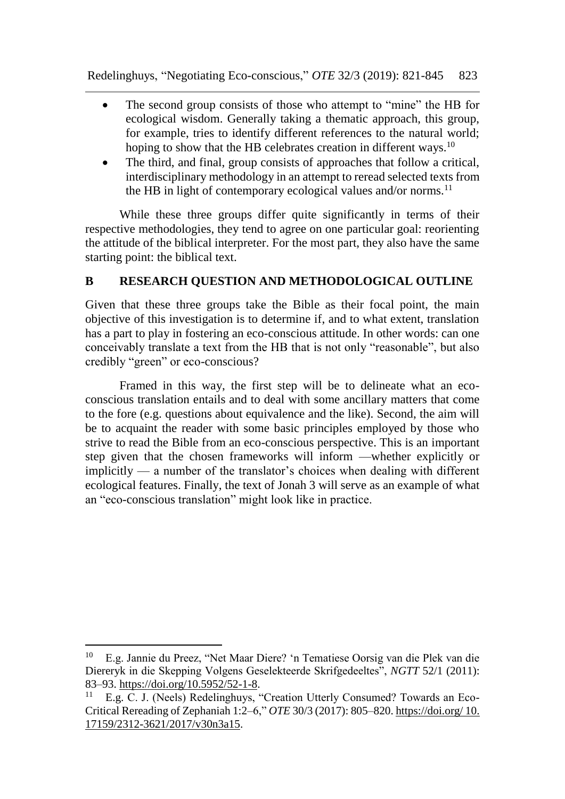- The second group consists of those who attempt to "mine" the HB for ecological wisdom. Generally taking a thematic approach, this group, for example, tries to identify different references to the natural world; hoping to show that the HB celebrates creation in different ways.<sup>10</sup>
- The third, and final, group consists of approaches that follow a critical, interdisciplinary methodology in an attempt to reread selected texts from the HB in light of contemporary ecological values and/or norms.<sup>11</sup>

While these three groups differ quite significantly in terms of their respective methodologies, they tend to agree on one particular goal: reorienting the attitude of the biblical interpreter. For the most part, they also have the same starting point: the biblical text.

# **B RESEARCH QUESTION AND METHODOLOGICAL OUTLINE**

Given that these three groups take the Bible as their focal point, the main objective of this investigation is to determine if, and to what extent, translation has a part to play in fostering an eco-conscious attitude. In other words: can one conceivably translate a text from the HB that is not only "reasonable", but also credibly "green" or eco-conscious?

Framed in this way, the first step will be to delineate what an ecoconscious translation entails and to deal with some ancillary matters that come to the fore (e.g. questions about equivalence and the like). Second, the aim will be to acquaint the reader with some basic principles employed by those who strive to read the Bible from an eco-conscious perspective. This is an important step given that the chosen frameworks will inform —whether explicitly or implicitly — a number of the translator's choices when dealing with different ecological features. Finally, the text of Jonah 3 will serve as an example of what an "eco-conscious translation" might look like in practice.

<sup>10</sup> E.g. Jannie du Preez, "Net Maar Diere? 'n Tematiese Oorsig van die Plek van die Diereryk in die Skepping Volgens Geselekteerde Skrifgedeeltes", *NGTT* 52/1 (2011): 83–93. [https://doi.org/10.5952/52-1-8.](https://doi.org/10.5952/52-1-8)

<sup>&</sup>lt;sup>11</sup> E.g. C. J. (Neels) Redelinghuys, "Creation Utterly Consumed? Towards an Eco-Critical Rereading of Zephaniah 1:2–6," *OTE* 30/3 (2017): 805–820. [https://doi.org/](https://doi.org/10.%2017159/2312-3621/2017/v30n3a15) 10. [17159/2312-3621/2017/v30n3a15.](https://doi.org/10.%2017159/2312-3621/2017/v30n3a15)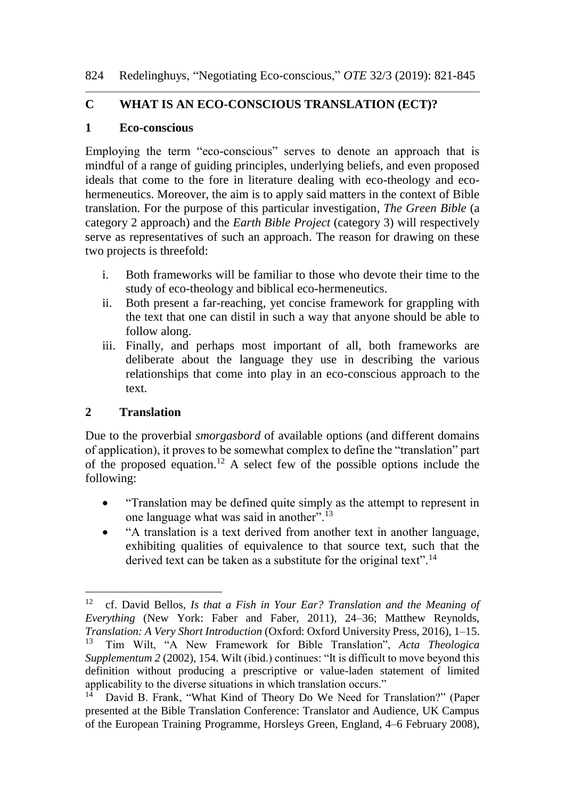### **C WHAT IS AN ECO-CONSCIOUS TRANSLATION (ECT)?**

#### **1 Eco-conscious**

Employing the term "eco-conscious" serves to denote an approach that is mindful of a range of guiding principles, underlying beliefs, and even proposed ideals that come to the fore in literature dealing with eco-theology and ecohermeneutics. Moreover, the aim is to apply said matters in the context of Bible translation. For the purpose of this particular investigation, *The Green Bible* (a category 2 approach) and the *Earth Bible Project* (category 3) will respectively serve as representatives of such an approach. The reason for drawing on these two projects is threefold:

- i. Both frameworks will be familiar to those who devote their time to the study of eco-theology and biblical eco-hermeneutics.
- ii. Both present a far-reaching, yet concise framework for grappling with the text that one can distil in such a way that anyone should be able to follow along.
- iii. Finally, and perhaps most important of all, both frameworks are deliberate about the language they use in describing the various relationships that come into play in an eco-conscious approach to the text.

# **2 Translation**

 $\overline{a}$ 

Due to the proverbial *smorgasbord* of available options (and different domains of application), it proves to be somewhat complex to define the "translation" part of the proposed equation.<sup>12</sup> A select few of the possible options include the following:

- "Translation may be defined quite simply as the attempt to represent in one language what was said in another.<sup>5</sup>.<sup>13</sup>
- "A translation is a text derived from another text in another language, exhibiting qualities of equivalence to that source text, such that the derived text can be taken as a substitute for the original text".<sup>14</sup>

<sup>12</sup> cf. David Bellos, *Is that a Fish in Your Ear? Translation and the Meaning of Everything* (New York: Faber and Faber, 2011), 24–36; Matthew Reynolds, *Translation: A Very Short Introduction* (Oxford: Oxford University Press, 2016), 1–15.<br><sup>13</sup> Tim Wilt "A New Framework for Bible Translation" *Acta Theologica* <sup>13</sup> Tim Wilt, "A New Framework for Bible Translation", *Acta Theologica Supplementum 2* (2002), 154. Wilt (ibid.) continues: "It is difficult to move beyond this definition without producing a prescriptive or value-laden statement of limited applicability to the diverse situations in which translation occurs."

David B. Frank, "What Kind of Theory Do We Need for Translation?" (Paper presented at the Bible Translation Conference: Translator and Audience, UK Campus of the European Training Programme, Horsleys Green, England, 4–6 February 2008),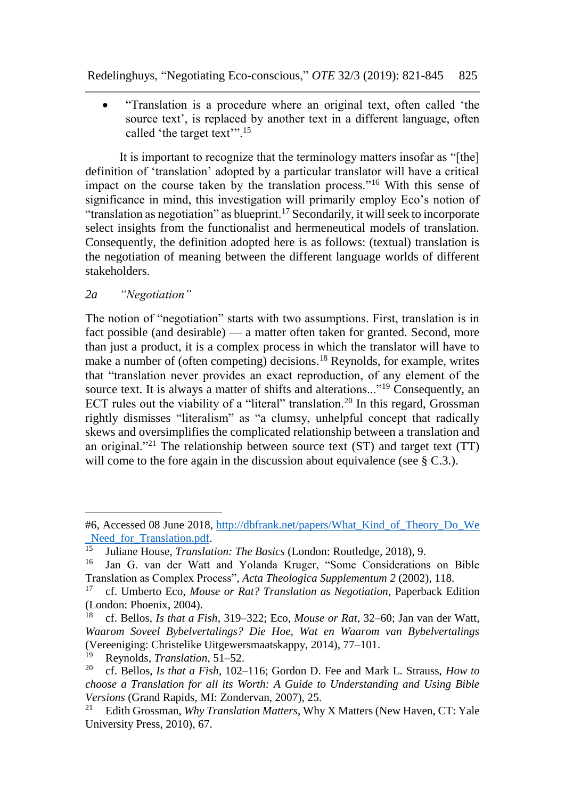Redelinghuys, "Negotiating Eco-conscious," *OTE* 32/3 (2019): 821-845 825

 "Translation is a procedure where an original text, often called 'the source text', is replaced by another text in a different language, often called 'the target text'".<sup>15</sup>

It is important to recognize that the terminology matters insofar as "[the] definition of 'translation' adopted by a particular translator will have a critical impact on the course taken by the translation process."<sup>16</sup> With this sense of significance in mind, this investigation will primarily employ Eco's notion of "translation as negotiation" as blueprint.<sup>17</sup> Secondarily, it will seek to incorporate select insights from the functionalist and hermeneutical models of translation. Consequently, the definition adopted here is as follows: (textual) translation is the negotiation of meaning between the different language worlds of different stakeholders.

#### *2a "Negotiation"*

l

The notion of "negotiation" starts with two assumptions. First, translation is in fact possible (and desirable) — a matter often taken for granted. Second, more than just a product, it is a complex process in which the translator will have to make a number of (often competing) decisions.<sup>18</sup> Reynolds, for example, writes that "translation never provides an exact reproduction, of any element of the source text. It is always a matter of shifts and alterations..."<sup>19</sup> Consequently, an ECT rules out the viability of a "literal" translation.<sup>20</sup> In this regard, Grossman rightly dismisses "literalism" as "a clumsy, unhelpful concept that radically skews and oversimplifies the complicated relationship between a translation and an original."<sup>21</sup> The relationship between source text  $(ST)$  and target text  $(TT)$ will come to the fore again in the discussion about equivalence (see § C.3.).

<sup>#6,</sup> Accessed 08 June 2018, [http://dbfrank.net/papers/What\\_Kind\\_of\\_Theory\\_Do\\_We](http://dbfrank.net/papers/What_Kind_of_Theory_Do_We%20_Need_for_Translation.pdf)  Need\_for\_Translation.pdf.

<sup>&</sup>lt;sup>15</sup> Juliane House, *Translation: The Basics* (London: Routledge, 2018), 9.<br><sup>16</sup> Jan G. van der Watt and Volanda Kruger, "Some Considerations

Jan G. van der Watt and Yolanda Kruger, "Some Considerations on Bible Translation as Complex Process", *Acta Theologica Supplementum 2* (2002), 118.

<sup>17</sup> cf. Umberto Eco, *Mouse or Rat? Translation as Negotiation*, Paperback Edition (London: Phoenix, 2004).

<sup>18</sup> cf. Bellos, *Is that a Fish*, 319–322; Eco, *Mouse or Rat*, 32–60; Jan van der Watt, *Waarom Soveel Bybelvertalings? Die Hoe, Wat en Waarom van Bybelvertalings* (Vereeniging: Christelike Uitgewersmaatskappy, 2014), 77–101.<br><sup>19</sup> Paynolde *Translation*, 51, 52.

<sup>&</sup>lt;sup>19</sup> Reynolds, *Translation*, 51–52.<br><sup>20</sup> cf. Bellos, *Is that a Fish* 102.

<sup>20</sup> cf. Bellos, *Is that a Fish*, 102–116; Gordon D. Fee and Mark L. Strauss, *How to choose a Translation for all its Worth: A Guide to Understanding and Using Bible Versions* (Grand Rapids, MI: Zondervan, 2007), 25.<br><sup>21</sup> Edith Grossman, *Why Translation Matters*, Why

<sup>21</sup> Edith Grossman, *Why Translation Matters*, Why X Matters (New Haven, CT: Yale University Press, 2010), 67.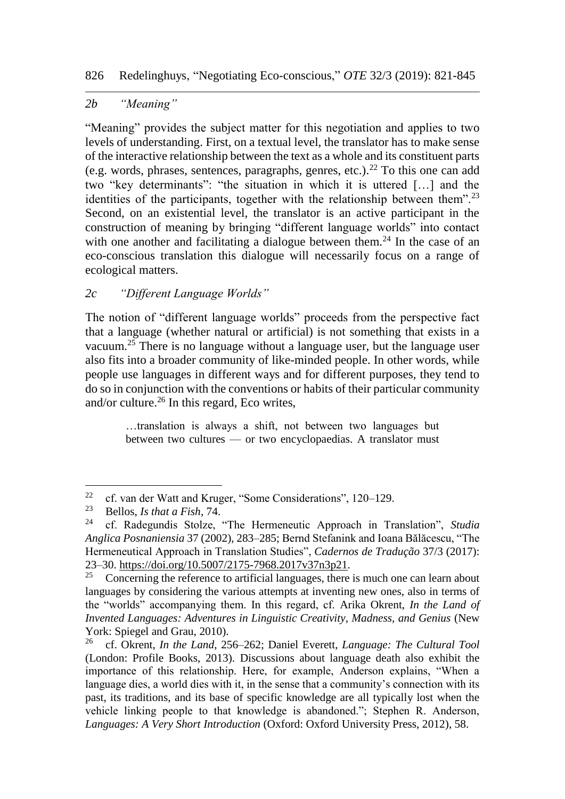# *2b "Meaning"*

"Meaning" provides the subject matter for this negotiation and applies to two levels of understanding. First, on a textual level, the translator has to make sense of the interactive relationship between the text as a whole and its constituent parts (e.g. words, phrases, sentences, paragraphs, genres, etc.).<sup>22</sup> To this one can add two "key determinants": "the situation in which it is uttered […] and the identities of the participants, together with the relationship between them".<sup>23</sup> Second, on an existential level, the translator is an active participant in the construction of meaning by bringing "different language worlds" into contact with one another and facilitating a dialogue between them.<sup>24</sup> In the case of an eco-conscious translation this dialogue will necessarily focus on a range of ecological matters.

# *2c "Different Language Worlds"*

The notion of "different language worlds" proceeds from the perspective fact that a language (whether natural or artificial) is not something that exists in a vacuum.<sup>25</sup> There is no language without a language user, but the language user also fits into a broader community of like-minded people. In other words, while people use languages in different ways and for different purposes, they tend to do so in conjunction with the conventions or habits of their particular community and/or culture. $^{26}$  In this regard, Eco writes,

> …translation is always a shift, not between two languages but between two cultures — or two encyclopaedias. A translator must

<sup>&</sup>lt;sup>22</sup> cf. van der Watt and Kruger, "Some Considerations", 120–129.<br><sup>23</sup> Bollos, *Js that a Fish* 74.

<sup>23</sup> Bellos, *Is that a Fish*, 74.

<sup>24</sup> cf. Radegundis Stolze, "The Hermeneutic Approach in Translation", *Studia Anglica Posnaniensia* 37 (2002), 283–285; Bernd Stefanink and Ioana Bălăcescu, "The Hermeneutical Approach in Translation Studies", *Cadernos de Tradução* 37/3 (2017): 23–30. [https://doi.org/10.5007/2175-7968.2017v37n3p21.](https://doi.org/10.5007/2175-7968.2017v37n3p21)<br><sup>25</sup> Concerning the reference to artificial languages, there

<sup>25</sup> Concerning the reference to artificial languages, there is much one can learn about languages by considering the various attempts at inventing new ones, also in terms of the "worlds" accompanying them. In this regard, cf. Arika Okrent, *In the Land of Invented Languages: Adventures in Linguistic Creativity, Madness, and Genius* (New York: Spiegel and Grau, 2010).<br> $^{26}$  cf. Okrept, In the Land 25

<sup>26</sup> cf. Okrent, *In the Land*, 256–262; Daniel Everett, *Language: The Cultural Tool* (London: Profile Books, 2013). Discussions about language death also exhibit the importance of this relationship. Here, for example, Anderson explains, "When a language dies, a world dies with it, in the sense that a community's connection with its past, its traditions, and its base of specific knowledge are all typically lost when the vehicle linking people to that knowledge is abandoned."; Stephen R. Anderson, *Languages: A Very Short Introduction* (Oxford: Oxford University Press, 2012), 58.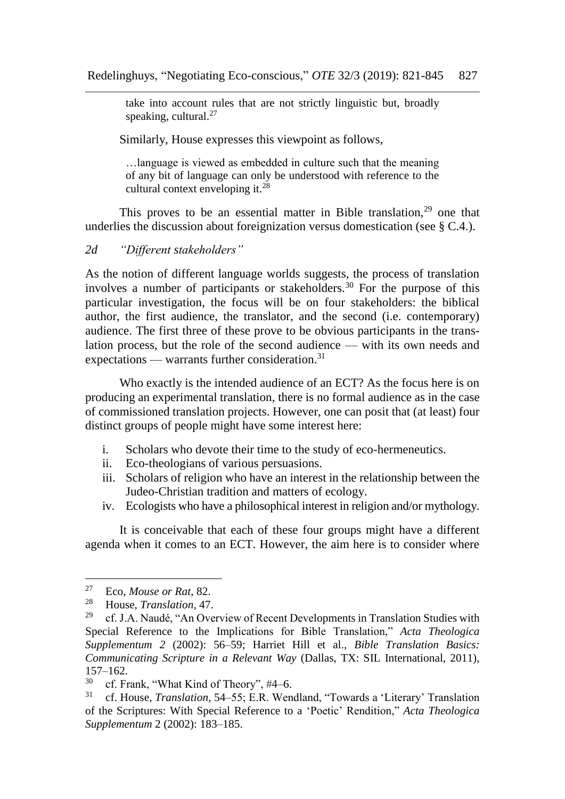take into account rules that are not strictly linguistic but, broadly speaking, cultural. $27$ 

Similarly, House expresses this viewpoint as follows,

…language is viewed as embedded in culture such that the meaning of any bit of language can only be understood with reference to the cultural context enveloping it. $^{28}$ 

This proves to be an essential matter in Bible translation,<sup>29</sup> one that underlies the discussion about foreignization versus domestication (see § C.4.).

#### *2d "Different stakeholders"*

As the notion of different language worlds suggests, the process of translation involves a number of participants or stakeholders.<sup>30</sup> For the purpose of this particular investigation, the focus will be on four stakeholders: the biblical author, the first audience, the translator, and the second (i.e. contemporary) audience. The first three of these prove to be obvious participants in the translation process, but the role of the second audience — with its own needs and expectations — warrants further consideration. $31$ 

Who exactly is the intended audience of an ECT? As the focus here is on producing an experimental translation, there is no formal audience as in the case of commissioned translation projects. However, one can posit that (at least) four distinct groups of people might have some interest here:

- i. Scholars who devote their time to the study of eco-hermeneutics.
- ii. Eco-theologians of various persuasions.
- iii. Scholars of religion who have an interest in the relationship between the Judeo-Christian tradition and matters of ecology.
- iv. Ecologists who have a philosophical interest in religion and/or mythology.

It is conceivable that each of these four groups might have a different agenda when it comes to an ECT. However, the aim here is to consider where

 $27$ <sup>27</sup> Eco, *Mouse or Rat*, 82.

<sup>&</sup>lt;sup>28</sup> House, *Translation*, 47.<br><sup>29</sup> cf I A Naudé "An Ove

cf. J.A. Naudé, "An Overview of Recent Developments in Translation Studies with Special Reference to the Implications for Bible Translation," *Acta Theologica Supplementum 2* (2002): 56–59; Harriet Hill et al., *Bible Translation Basics: Communicating Scripture in a Relevant Way* (Dallas, TX: SIL International, 2011),  $157-162.$ <br>30 of Ex

<sup>&</sup>lt;sup>30</sup> cf. Frank, "What Kind of Theory", #4–6.<br><sup>31</sup> cf. House, *Translation*, 54, 55; E. P. Wen.

<sup>31</sup> cf. House, *Translation*, 54–55; E.R. Wendland, "Towards a 'Literary' Translation of the Scriptures: With Special Reference to a 'Poetic' Rendition," *Acta Theologica Supplementum* 2 (2002): 183–185.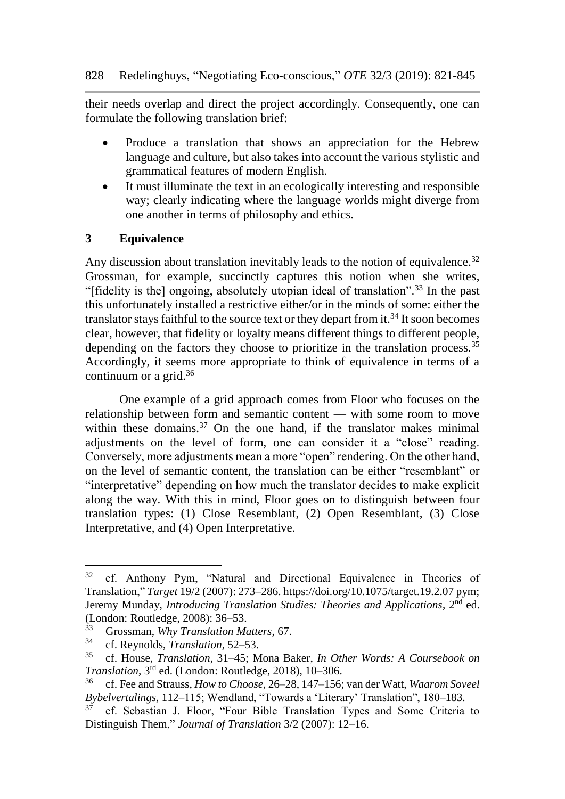their needs overlap and direct the project accordingly. Consequently, one can formulate the following translation brief:

- Produce a translation that shows an appreciation for the Hebrew language and culture, but also takes into account the various stylistic and grammatical features of modern English.
- It must illuminate the text in an ecologically interesting and responsible way; clearly indicating where the language worlds might diverge from one another in terms of philosophy and ethics.

#### **3 Equivalence**

Any discussion about translation inevitably leads to the notion of equivalence.<sup>32</sup> Grossman, for example, succinctly captures this notion when she writes, "[fidelity is the] ongoing, absolutely utopian ideal of translation".<sup>33</sup> In the past this unfortunately installed a restrictive either/or in the minds of some: either the translator stays faithful to the source text or they depart from it.<sup>34</sup> It soon becomes clear, however, that fidelity or loyalty means different things to different people, depending on the factors they choose to prioritize in the translation process.<sup>35</sup> Accordingly, it seems more appropriate to think of equivalence in terms of a continuum or a grid.<sup>36</sup>

One example of a grid approach comes from Floor who focuses on the relationship between form and semantic content — with some room to move within these domains. $37$  On the one hand, if the translator makes minimal adjustments on the level of form, one can consider it a "close" reading. Conversely, more adjustments mean a more "open" rendering. On the other hand, on the level of semantic content, the translation can be either "resemblant" or "interpretative" depending on how much the translator decides to make explicit along the way. With this in mind, Floor goes on to distinguish between four translation types: (1) Close Resemblant, (2) Open Resemblant, (3) Close Interpretative, and (4) Open Interpretative.

<sup>&</sup>lt;sup>32</sup> cf. Anthony Pym, "Natural and Directional Equivalence in Theories of Translation," *Target* 19/2 (2007): 273–286[. https://doi.org/10.1075/target.19.2.07](https://doi.org/10.1075/target.19.2.07pym) pym; Jeremy Munday, *Introducing Translation Studies: Theories and Applications*, 2<sup>nd</sup> ed. (London: Routledge, 2008):  $36-53$ .<br> $33$  Crossman Why Translation Me.

<sup>33</sup> Grossman, *Why Translation Matters*, 67.

<sup>&</sup>lt;sup>34</sup> cf. Reynolds, *Translation*, 52–53.<br><sup>35</sup> cf. House, *Translation*, 31, 45: M

<sup>35</sup> cf. House, *Translation*, 31–45; Mona Baker, *In Other Words: A Coursebook on Translation*, 3rd ed. (London: Routledge, 2018), 10–306.

<sup>36</sup> cf. Fee and Strauss, *How to Choose*, 26–28, 147–156; van der Watt, *Waarom Soveel Bybelvertalings*, 112–115; Wendland, "Towards a 'Literary' Translation", 180–183.

<sup>37</sup> cf. Sebastian J. Floor, "Four Bible Translation Types and Some Criteria to Distinguish Them," *Journal of Translation* 3/2 (2007): 12–16.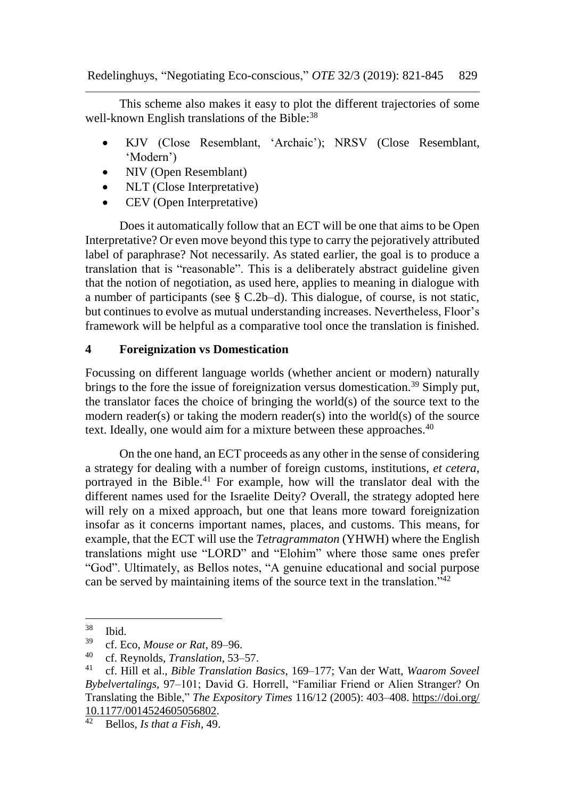This scheme also makes it easy to plot the different trajectories of some well-known English translations of the Bible:<sup>38</sup>

- KJV (Close Resemblant, 'Archaic'); NRSV (Close Resemblant, 'Modern')
- NIV (Open Resemblant)
- NLT (Close Interpretative)
- CEV (Open Interpretative)

Does it automatically follow that an ECT will be one that aims to be Open Interpretative? Or even move beyond this type to carry the pejoratively attributed label of paraphrase? Not necessarily. As stated earlier, the goal is to produce a translation that is "reasonable". This is a deliberately abstract guideline given that the notion of negotiation, as used here, applies to meaning in dialogue with a number of participants (see § C.2b–d). This dialogue, of course, is not static, but continues to evolve as mutual understanding increases. Nevertheless, Floor's framework will be helpful as a comparative tool once the translation is finished.

#### **4 Foreignization vs Domestication**

Focussing on different language worlds (whether ancient or modern) naturally brings to the fore the issue of foreignization versus domestication.<sup>39</sup> Simply put, the translator faces the choice of bringing the world(s) of the source text to the modern reader(s) or taking the modern reader(s) into the world(s) of the source text. Ideally, one would aim for a mixture between these approaches.<sup>40</sup>

On the one hand, an ECT proceeds as any other in the sense of considering a strategy for dealing with a number of foreign customs, institutions, *et cetera*, portrayed in the Bible.<sup>41</sup> For example, how will the translator deal with the different names used for the Israelite Deity? Overall, the strategy adopted here will rely on a mixed approach, but one that leans more toward foreignization insofar as it concerns important names, places, and customs. This means, for example, that the ECT will use the *Tetragrammaton* (YHWH) where the English translations might use "LORD" and "Elohim" where those same ones prefer "God". Ultimately, as Bellos notes, "A genuine educational and social purpose can be served by maintaining items of the source text in the translation."<sup>42</sup>

<sup>38</sup>  $rac{38}{39}$  Ibid.

<sup>&</sup>lt;sup>39</sup> cf. Eco, *Mouse or Rat*, 89–96.<br><sup>40</sup> cf. Poypolds, *Translation* 52.

<sup>&</sup>lt;sup>40</sup> cf. Reynolds, *Translation*, 53–57.<br><sup>41</sup> cf. Hill et al. *Bible Translation E* 

<sup>41</sup> cf. Hill et al., *Bible Translation Basics*, 169–177; Van der Watt, *Waarom Soveel Bybelvertalings*, 97–101; David G. Horrell, "Familiar Friend or Alien Stranger? On Translating the Bible," *The Expository Times* 116/12 (2005): 403–408. [https://doi.org/](https://doi.org/%2010.1177/0014524605056802)   $\frac{10.1177}{2}$  Rellos *Js that a Fish 4*9

<sup>42</sup> Bellos, *Is that a Fish*, 49.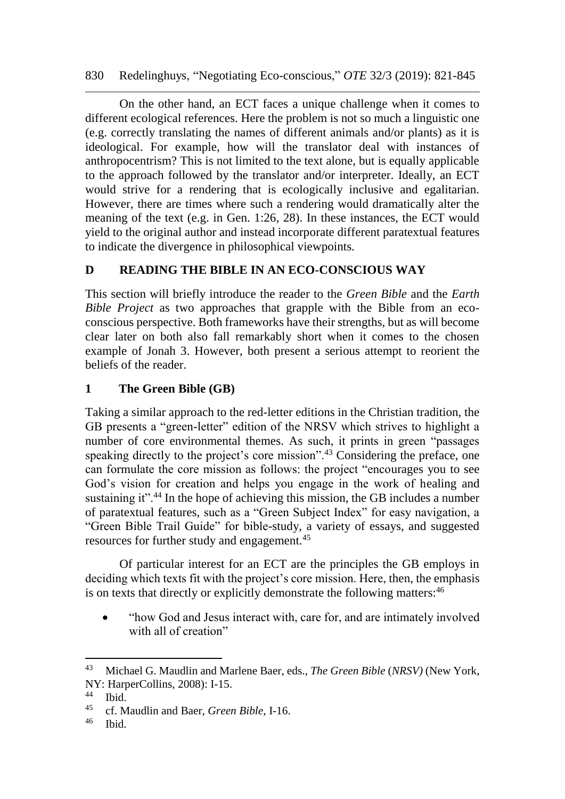830 Redelinghuys, "Negotiating Eco-conscious," *OTE* 32/3 (2019): 821-845

On the other hand, an ECT faces a unique challenge when it comes to different ecological references. Here the problem is not so much a linguistic one (e.g. correctly translating the names of different animals and/or plants) as it is ideological. For example, how will the translator deal with instances of anthropocentrism? This is not limited to the text alone, but is equally applicable to the approach followed by the translator and/or interpreter. Ideally, an ECT would strive for a rendering that is ecologically inclusive and egalitarian. However, there are times where such a rendering would dramatically alter the meaning of the text (e.g. in Gen. 1:26, 28). In these instances, the ECT would yield to the original author and instead incorporate different paratextual features to indicate the divergence in philosophical viewpoints.

# **D READING THE BIBLE IN AN ECO-CONSCIOUS WAY**

This section will briefly introduce the reader to the *Green Bible* and the *Earth Bible Project* as two approaches that grapple with the Bible from an ecoconscious perspective. Both frameworks have their strengths, but as will become clear later on both also fall remarkably short when it comes to the chosen example of Jonah 3. However, both present a serious attempt to reorient the beliefs of the reader.

# **1 The Green Bible (GB)**

Taking a similar approach to the red-letter editions in the Christian tradition, the GB presents a "green-letter" edition of the NRSV which strives to highlight a number of core environmental themes. As such, it prints in green "passages speaking directly to the project's core mission".<sup>43</sup> Considering the preface, one can formulate the core mission as follows: the project "encourages you to see God's vision for creation and helps you engage in the work of healing and sustaining it".<sup>44</sup> In the hope of achieving this mission, the GB includes a number of paratextual features, such as a "Green Subject Index" for easy navigation, a "Green Bible Trail Guide" for bible-study, a variety of essays, and suggested resources for further study and engagement.<sup>45</sup>

Of particular interest for an ECT are the principles the GB employs in deciding which texts fit with the project's core mission. Here, then, the emphasis is on texts that directly or explicitly demonstrate the following matters:<sup>46</sup>

• "how God and Jesus interact with, care for, and are intimately involved with all of creation"

l

<sup>43</sup> Michael G. Maudlin and Marlene Baer, eds., *The Green Bible* (*NRSV)* (New York, NY: HarperCollins, 2008): I-15.

 $44$  Ibid.<br>45 of M

<sup>45</sup> cf. Maudlin and Baer, *Green Bible*, I-16.

Ibid.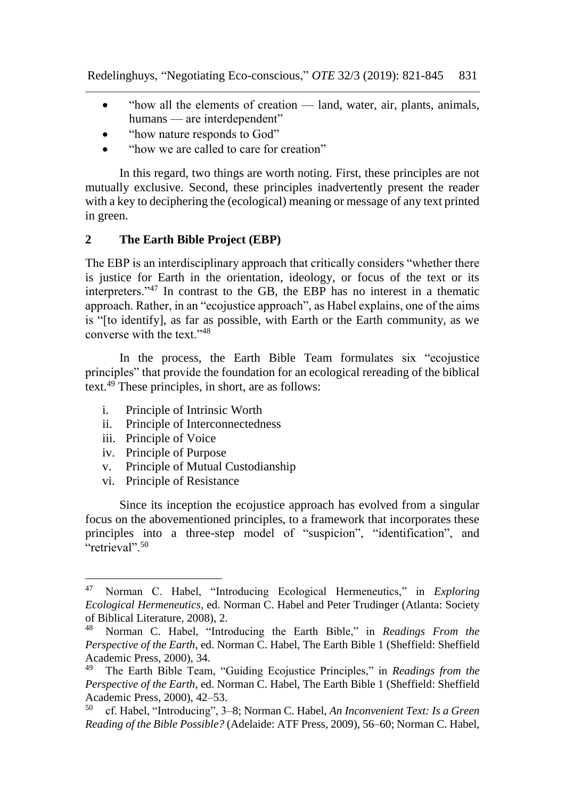- "how all the elements of creation land, water, air, plants, animals, humans — are interdependent"
- "how nature responds to God"
- "how we are called to care for creation"

In this regard, two things are worth noting. First, these principles are not mutually exclusive. Second, these principles inadvertently present the reader with a key to deciphering the (ecological) meaning or message of any text printed in green.

#### **2 The Earth Bible Project (EBP)**

The EBP is an interdisciplinary approach that critically considers "whether there is justice for Earth in the orientation, ideology, or focus of the text or its interpreters."<sup>47</sup> In contrast to the GB, the EBP has no interest in a thematic approach. Rather, in an "ecojustice approach", as Habel explains, one of the aims is "[to identify], as far as possible, with Earth or the Earth community, as we converse with the text<sup>"48</sup>

In the process, the Earth Bible Team formulates six "ecojustice principles" that provide the foundation for an ecological rereading of the biblical text.<sup>49</sup> These principles, in short, are as follows:

- i. Principle of Intrinsic Worth
- ii. Principle of Interconnectedness
- iii. Principle of Voice

- iv. Principle of Purpose
- v. Principle of Mutual Custodianship
- vi. Principle of Resistance

Since its inception the ecojustice approach has evolved from a singular focus on the abovementioned principles, to a framework that incorporates these principles into a three-step model of "suspicion", "identification", and  $\epsilon$ "retrieval".  $50$ 

<sup>47</sup> Norman C. Habel, "Introducing Ecological Hermeneutics," in *Exploring Ecological Hermeneutics*, ed. Norman C. Habel and Peter Trudinger (Atlanta: Society of Biblical Literature, 2008), 2.

<sup>48</sup> Norman C. Habel, "Introducing the Earth Bible," in *Readings From the Perspective of the Earth*, ed. Norman C. Habel, The Earth Bible 1 (Sheffield: Sheffield Academic Press, 2000), 34.<br><sup>49</sup> The Earth Bible Team

<sup>49</sup> The Earth Bible Team, "Guiding Ecojustice Principles," in *Readings from the Perspective of the Earth*, ed. Norman C. Habel, The Earth Bible 1 (Sheffield: Sheffield Academic Press, 2000),  $42-53$ .<br> $^{50}$  of Habel "Introducing", 3

<sup>50</sup> cf. Habel, "Introducing", 3–8; Norman C. Habel, *An Inconvenient Text: Is a Green Reading of the Bible Possible?* (Adelaide: ATF Press, 2009), 56–60; Norman C. Habel,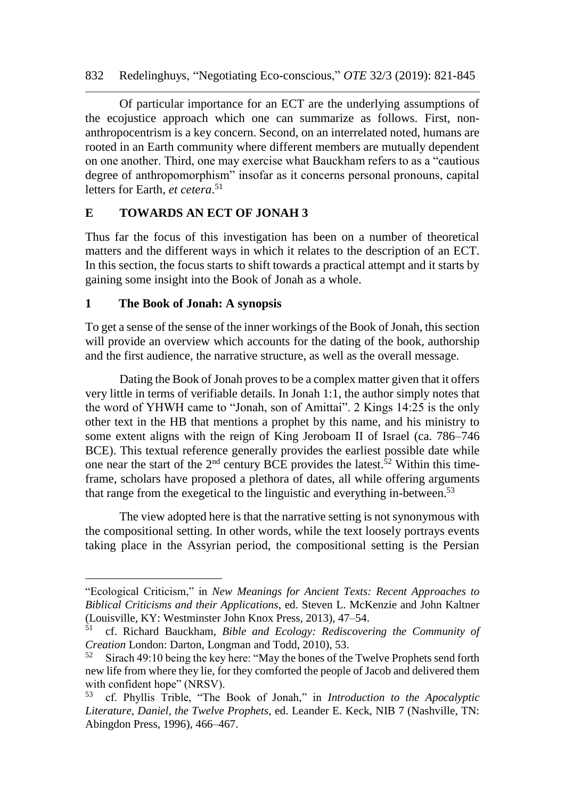Of particular importance for an ECT are the underlying assumptions of the ecojustice approach which one can summarize as follows. First, nonanthropocentrism is a key concern. Second, on an interrelated noted, humans are rooted in an Earth community where different members are mutually dependent on one another. Third, one may exercise what Bauckham refers to as a "cautious degree of anthropomorphism" insofar as it concerns personal pronouns, capital letters for Earth, *et cetera*. 51

#### **E TOWARDS AN ECT OF JONAH 3**

Thus far the focus of this investigation has been on a number of theoretical matters and the different ways in which it relates to the description of an ECT. In this section, the focus starts to shift towards a practical attempt and it starts by gaining some insight into the Book of Jonah as a whole.

#### **1 The Book of Jonah: A synopsis**

To get a sense of the sense of the inner workings of the Book of Jonah, this section will provide an overview which accounts for the dating of the book, authorship and the first audience, the narrative structure, as well as the overall message.

Dating the Book of Jonah proves to be a complex matter given that it offers very little in terms of verifiable details. In Jonah 1:1, the author simply notes that the word of YHWH came to "Jonah, son of Amittai". 2 Kings 14:25 is the only other text in the HB that mentions a prophet by this name, and his ministry to some extent aligns with the reign of King Jeroboam II of Israel (ca. 786–746 BCE). This textual reference generally provides the earliest possible date while one near the start of the  $2<sup>nd</sup>$  century BCE provides the latest.<sup>52</sup> Within this timeframe, scholars have proposed a plethora of dates, all while offering arguments that range from the exegetical to the linguistic and everything in-between.<sup>53</sup>

The view adopted here is that the narrative setting is not synonymous with the compositional setting. In other words, while the text loosely portrays events taking place in the Assyrian period, the compositional setting is the Persian

<sup>&</sup>quot;Ecological Criticism," in *New Meanings for Ancient Texts: Recent Approaches to Biblical Criticisms and their Applications*, ed. Steven L. McKenzie and John Kaltner (Louisville, KY: Westminster John Knox Press, 2013), 47–54.<br> $^{51}$  of Richard Bauckham *Bible and Ecology: Rediscover* 

<sup>51</sup> cf. Richard Bauckham, *Bible and Ecology: Rediscovering the Community of Creation* London: Darton, Longman and Todd, 2010), 53.

 $52$  Sirach 49:10 being the key here: "May the bones of the Twelve Prophets send forth new life from where they lie, for they comforted the people of Jacob and delivered them with confident hope" (NRSV).

<sup>53</sup> cf. Phyllis Trible, "The Book of Jonah," in *Introduction to the Apocalyptic Literature, Daniel, the Twelve Prophets*, ed. Leander E. Keck, NIB 7 (Nashville, TN: Abingdon Press, 1996), 466–467.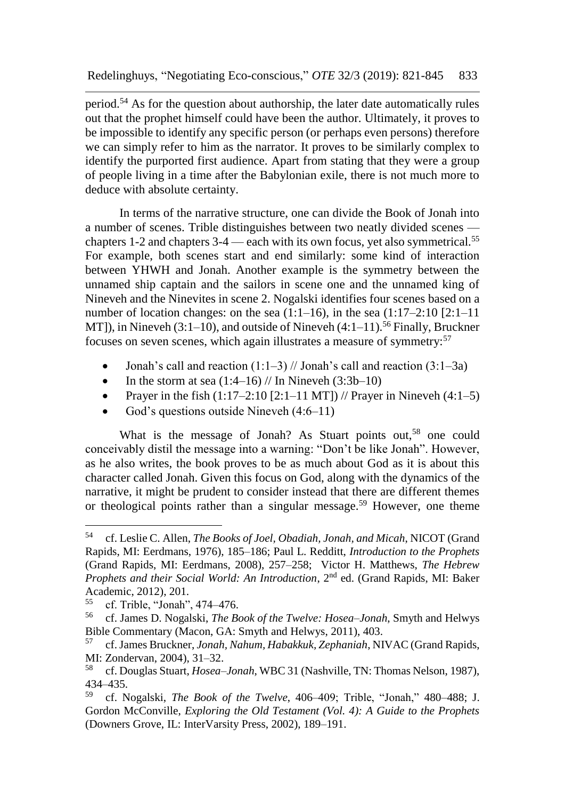period.<sup>54</sup> As for the question about authorship, the later date automatically rules out that the prophet himself could have been the author. Ultimately, it proves to be impossible to identify any specific person (or perhaps even persons) therefore we can simply refer to him as the narrator. It proves to be similarly complex to identify the purported first audience. Apart from stating that they were a group of people living in a time after the Babylonian exile, there is not much more to deduce with absolute certainty.

In terms of the narrative structure, one can divide the Book of Jonah into a number of scenes. Trible distinguishes between two neatly divided scenes chapters 1-2 and chapters  $3-4$  — each with its own focus, yet also symmetrical.<sup>55</sup> For example, both scenes start and end similarly: some kind of interaction between YHWH and Jonah. Another example is the symmetry between the unnamed ship captain and the sailors in scene one and the unnamed king of Nineveh and the Ninevites in scene 2. Nogalski identifies four scenes based on a number of location changes: on the sea  $(1:1-16)$ , in the sea  $(1:17-2:10$   $[2:1-11]$ MT]), in Nineveh  $(3:1–10)$ , and outside of Nineveh  $(4:1–11)$ .<sup>56</sup> Finally, Bruckner focuses on seven scenes, which again illustrates a measure of symmetry:<sup>57</sup>

- Jonah's call and reaction  $(1:1-3)$  // Jonah's call and reaction  $(3:1-3a)$
- In the storm at sea  $(1:4–16)$  // In Nineveh  $(3:3b-10)$
- Prayer in the fish  $(1:17-2:10 [2:1-11 MT])$  // Prayer in Nineveh  $(4:1-5)$
- God's questions outside Nineveh (4:6–11)

What is the message of Jonah? As Stuart points out,<sup>58</sup> one could conceivably distil the message into a warning: "Don't be like Jonah". However, as he also writes, the book proves to be as much about God as it is about this character called Jonah. Given this focus on God, along with the dynamics of the narrative, it might be prudent to consider instead that there are different themes or theological points rather than a singular message.<sup>59</sup> However, one theme

<sup>54</sup> cf. Leslie C. Allen, *The Books of Joel, Obadiah, Jonah, and Micah*, NICOT (Grand Rapids, MI: Eerdmans, 1976), 185–186; Paul L. Redditt, *Introduction to the Prophets* (Grand Rapids, MI: Eerdmans, 2008), 257–258; Victor H. Matthews, *The Hebrew Prophets and their Social World: An Introduction*, 2nd ed. (Grand Rapids, MI: Baker Academic, 2012), 201.<br>
<sup>55</sup> of Trible "Jonah"

<sup>55</sup> cf. Trible, "Jonah", 474–476.

<sup>56</sup> cf. James D. Nogalski, *The Book of the Twelve: Hosea–Jonah*, Smyth and Helwys Bible Commentary (Macon, GA: Smyth and Helwys, 2011), 403.

<sup>57</sup> cf. James Bruckner, *Jonah, Nahum, Habakkuk, Zephaniah*, NIVAC (Grand Rapids, MI: Zondervan, 2004), 31–32.<br><sup>58</sup> of Douglas Stuart, Hoseg

<sup>58</sup> cf. Douglas Stuart, *Hosea–Jonah*, WBC 31 (Nashville, TN: Thomas Nelson, 1987),  $434-435.$ <br> $59$  of N

<sup>59</sup> cf. Nogalski, *The Book of the Twelve*, 406–409; Trible, "Jonah," 480–488; J. Gordon McConville, *Exploring the Old Testament (Vol. 4): A Guide to the Prophets* (Downers Grove, IL: InterVarsity Press, 2002), 189–191.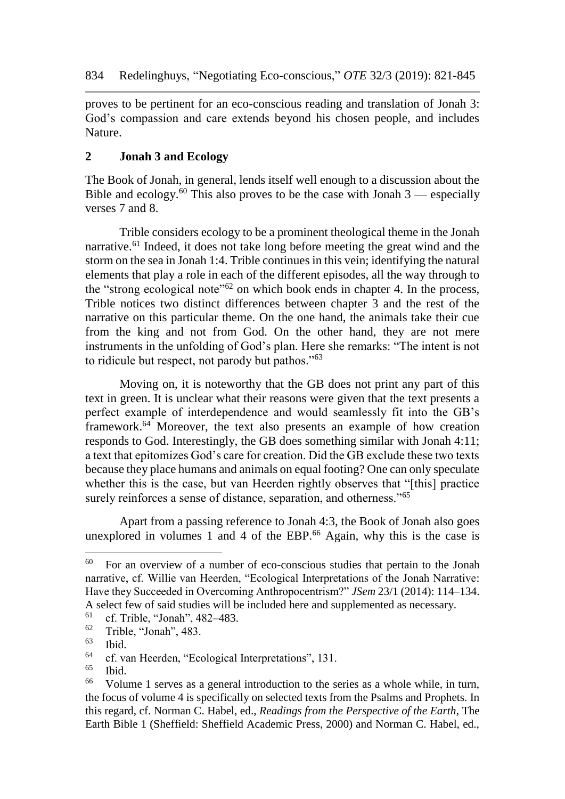proves to be pertinent for an eco-conscious reading and translation of Jonah 3: God's compassion and care extends beyond his chosen people, and includes Nature.

#### **2 Jonah 3 and Ecology**

The Book of Jonah, in general, lends itself well enough to a discussion about the Bible and ecology.<sup>60</sup> This also proves to be the case with Jonah  $3$  — especially verses 7 and 8.

Trible considers ecology to be a prominent theological theme in the Jonah narrative.<sup>61</sup> Indeed, it does not take long before meeting the great wind and the storm on the sea in Jonah 1:4. Trible continues in this vein; identifying the natural elements that play a role in each of the different episodes, all the way through to the "strong ecological note" $62$  on which book ends in chapter 4. In the process, Trible notices two distinct differences between chapter 3 and the rest of the narrative on this particular theme. On the one hand, the animals take their cue from the king and not from God. On the other hand, they are not mere instruments in the unfolding of God's plan. Here she remarks: "The intent is not to ridicule but respect, not parody but pathos."<sup>63</sup>

Moving on, it is noteworthy that the GB does not print any part of this text in green. It is unclear what their reasons were given that the text presents a perfect example of interdependence and would seamlessly fit into the GB's framework.<sup>64</sup> Moreover, the text also presents an example of how creation responds to God. Interestingly, the GB does something similar with Jonah 4:11; a text that epitomizes God's care for creation. Did the GB exclude these two texts because they place humans and animals on equal footing? One can only speculate whether this is the case, but van Heerden rightly observes that "[this] practice surely reinforces a sense of distance, separation, and otherness."<sup>65</sup>

Apart from a passing reference to Jonah 4:3, the Book of Jonah also goes unexplored in volumes 1 and 4 of the EBP. $66$  Again, why this is the case is

l

 $60$  For an overview of a number of eco-conscious studies that pertain to the Jonah narrative, cf. Willie van Heerden, "Ecological Interpretations of the Jonah Narrative: Have they Succeeded in Overcoming Anthropocentrism?" *JSem* 23/1 (2014): 114–134. A select few of said studies will be included here and supplemented as necessary.

<sup>&</sup>lt;sup>61</sup> cf. Trible, "Jonah", 482–483.<br><sup>62</sup> Trible, "Jonah", 483

 $\begin{array}{cc}\n\text{62} \\
\text{63} \\
\text{44}\n\end{array}$  Trible, "Jonah", 483.

 $\begin{array}{c} 63 \\ 64 \end{array}$  Ibid.

 $^{64}$  cf. van Heerden, "Ecological Interpretations", 131.<br> $^{65}$  Ibid

 $\begin{array}{c} 65 \\ 66 \end{array}$  Ibid.

Volume 1 serves as a general introduction to the series as a whole while, in turn, the focus of volume 4 is specifically on selected texts from the Psalms and Prophets. In this regard, cf. Norman C. Habel, ed., *Readings from the Perspective of the Earth*, The Earth Bible 1 (Sheffield: Sheffield Academic Press, 2000) and Norman C. Habel, ed.,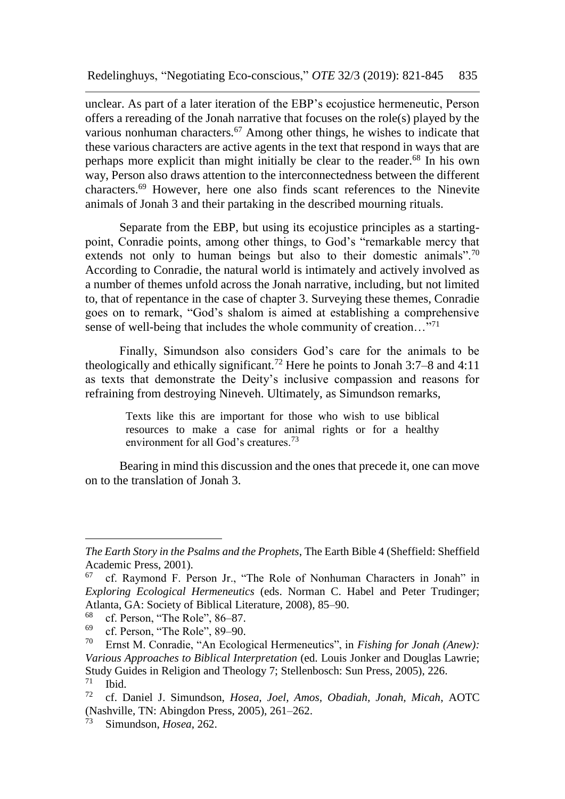unclear. As part of a later iteration of the EBP's ecojustice hermeneutic, Person offers a rereading of the Jonah narrative that focuses on the role(s) played by the various nonhuman characters.<sup>67</sup> Among other things, he wishes to indicate that these various characters are active agents in the text that respond in ways that are perhaps more explicit than might initially be clear to the reader.<sup>68</sup> In his own way, Person also draws attention to the interconnectedness between the different characters.<sup>69</sup> However, here one also finds scant references to the Ninevite animals of Jonah 3 and their partaking in the described mourning rituals.

Separate from the EBP, but using its ecojustice principles as a startingpoint, Conradie points, among other things, to God's "remarkable mercy that extends not only to human beings but also to their domestic animals".<sup>70</sup> According to Conradie, the natural world is intimately and actively involved as a number of themes unfold across the Jonah narrative, including, but not limited to, that of repentance in the case of chapter 3. Surveying these themes, Conradie goes on to remark, "God's shalom is aimed at establishing a comprehensive sense of well-being that includes the whole community of creation..."<sup>71</sup>

Finally, Simundson also considers God's care for the animals to be theologically and ethically significant.<sup>72</sup> Here he points to Jonah 3:7–8 and 4:11 as texts that demonstrate the Deity's inclusive compassion and reasons for refraining from destroying Nineveh. Ultimately, as Simundson remarks,

> Texts like this are important for those who wish to use biblical resources to make a case for animal rights or for a healthy environment for all God's creatures.<sup>73</sup>

Bearing in mind this discussion and the ones that precede it, one can move on to the translation of Jonah 3.

*The Earth Story in the Psalms and the Prophets*, The Earth Bible 4 (Sheffield: Sheffield Academic Press, 2001).

 $67$  cf. Raymond F. Person Jr., "The Role of Nonhuman Characters in Jonah" in *Exploring Ecological Hermeneutics* (eds. Norman C. Habel and Peter Trudinger; Atlanta, GA: Society of Biblical Literature, 2008), 85–90.

 $^{68}$  cf. Person, "The Role", 86–87.<br> $^{69}$  ef Person, "The Role", 80, 90.

 $^{69}$  cf. Person, "The Role", 89–90.<br> $^{70}$  Ernst M. Conradia "An Ecology

Ernst M. Conradie, "An Ecological Hermeneutics", in *Fishing for Jonah (Anew)*: *Various Approaches to Biblical Interpretation* (ed. Louis Jonker and Douglas Lawrie; Study Guides in Religion and Theology 7; Stellenbosch: Sun Press, 2005), 226.<br><sup>71</sup> Ibid  $\frac{71}{72}$  Ibid.

<sup>72</sup> cf. Daniel J. Simundson, *Hosea, Joel, Amos, Obadiah, Jonah, Micah*, AOTC (Nashville, TN: Abingdon Press, 2005), 261–262.

Simundson, *Hosea*, 262.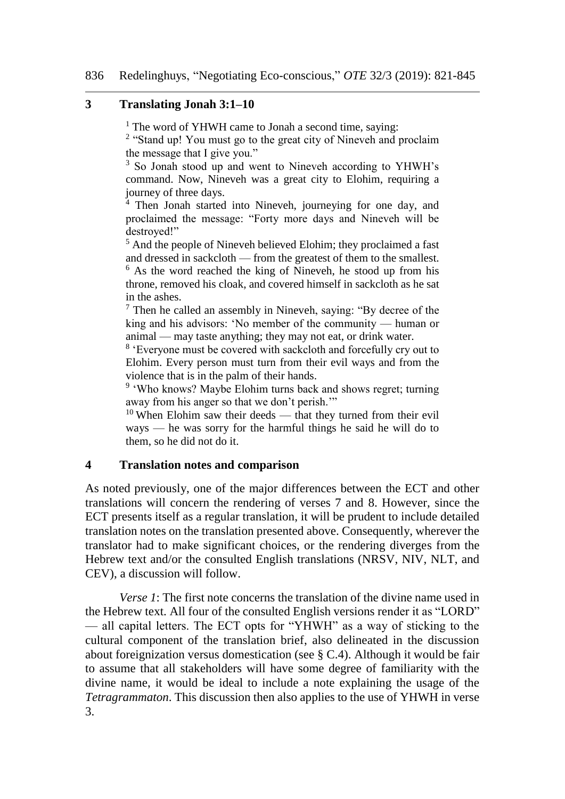#### **3 Translating Jonah 3:1–10**

<sup>1</sup> The word of YHWH came to Jonah a second time, saying:

<sup>2</sup> "Stand up! You must go to the great city of Nineveh and proclaim the message that I give you."

<sup>3</sup> So Jonah stood up and went to Nineveh according to YHWH's command. Now, Nineveh was a great city to Elohim, requiring a journey of three days.

 $4$  Then Jonah started into Nineveh, journeying for one day, and proclaimed the message: "Forty more days and Nineveh will be destroyed!"

<sup>5</sup> And the people of Nineveh believed Elohim; they proclaimed a fast and dressed in sackcloth — from the greatest of them to the smallest.  $6$  As the word reached the king of Nineveh, he stood up from his throne, removed his cloak, and covered himself in sackcloth as he sat in the ashes.

<sup>7</sup> Then he called an assembly in Nineveh, saying: "By decree of the king and his advisors: 'No member of the community — human or animal — may taste anything; they may not eat, or drink water.

<sup>8</sup> 'Everyone must be covered with sackcloth and forcefully cry out to Elohim. Every person must turn from their evil ways and from the violence that is in the palm of their hands.

<sup>9</sup> 'Who knows? Maybe Elohim turns back and shows regret; turning away from his anger so that we don't perish.'"

 $10$  When Elohim saw their deeds — that they turned from their evil ways — he was sorry for the harmful things he said he will do to them, so he did not do it.

#### **4 Translation notes and comparison**

As noted previously, one of the major differences between the ECT and other translations will concern the rendering of verses 7 and 8. However, since the ECT presents itself as a regular translation, it will be prudent to include detailed translation notes on the translation presented above. Consequently, wherever the translator had to make significant choices, or the rendering diverges from the Hebrew text and/or the consulted English translations (NRSV, NIV, NLT, and CEV), a discussion will follow.

*Verse 1*: The first note concerns the translation of the divine name used in the Hebrew text. All four of the consulted English versions render it as "LORD" — all capital letters. The ECT opts for "YHWH" as a way of sticking to the cultural component of the translation brief, also delineated in the discussion about foreignization versus domestication (see § C.4). Although it would be fair to assume that all stakeholders will have some degree of familiarity with the divine name, it would be ideal to include a note explaining the usage of the *Tetragrammaton*. This discussion then also applies to the use of YHWH in verse 3.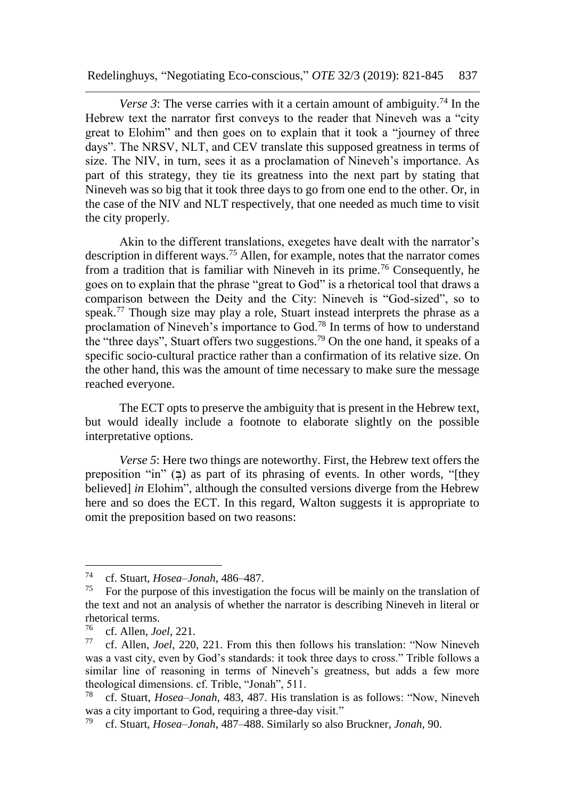Redelinghuys, "Negotiating Eco-conscious," *OTE* 32/3 (2019): 821-845 837

*Verse 3*: The verse carries with it a certain amount of ambiguity.<sup>74</sup> In the Hebrew text the narrator first conveys to the reader that Nineveh was a "city great to Elohim" and then goes on to explain that it took a "journey of three days". The NRSV, NLT, and CEV translate this supposed greatness in terms of size. The NIV, in turn, sees it as a proclamation of Nineveh's importance. As part of this strategy, they tie its greatness into the next part by stating that Nineveh was so big that it took three days to go from one end to the other. Or, in the case of the NIV and NLT respectively, that one needed as much time to visit the city properly.

Akin to the different translations, exegetes have dealt with the narrator's description in different ways.<sup>75</sup> Allen, for example, notes that the narrator comes from a tradition that is familiar with Nineveh in its prime.<sup>76</sup> Consequently, he goes on to explain that the phrase "great to God" is a rhetorical tool that draws a comparison between the Deity and the City: Nineveh is "God-sized", so to speak.<sup>77</sup> Though size may play a role, Stuart instead interprets the phrase as a proclamation of Nineveh's importance to God.<sup>78</sup> In terms of how to understand the "three days", Stuart offers two suggestions.<sup>79</sup> On the one hand, it speaks of a specific socio-cultural practice rather than a confirmation of its relative size. On the other hand, this was the amount of time necessary to make sure the message reached everyone.

The ECT opts to preserve the ambiguity that is present in the Hebrew text, but would ideally include a footnote to elaborate slightly on the possible interpretative options.

*Verse 5*: Here two things are noteworthy. First, the Hebrew text offers the preposition "in" ( $\overline{z}$ ) as part of its phrasing of events. In other words, "[they believed] *in* Elohim", although the consulted versions diverge from the Hebrew here and so does the ECT. In this regard, Walton suggests it is appropriate to omit the preposition based on two reasons:

<sup>74</sup> cf. Stuart, *Hosea–Jonah*, 486–487.

For the purpose of this investigation the focus will be mainly on the translation of the text and not an analysis of whether the narrator is describing Nineveh in literal or rhetorical terms.<br> $^{76}$  of Allen Is

<sup>76</sup> cf. Allen, *Joel*, 221.

cf. Allen, *Joel*, 220, 221. From this then follows his translation: "Now Nineveh was a vast city, even by God's standards: it took three days to cross." Trible follows a similar line of reasoning in terms of Nineveh's greatness, but adds a few more theological dimensions. cf. Trible, "Jonah", 511.

<sup>78</sup> cf. Stuart, *Hosea–Jonah*, 483, 487. His translation is as follows: "Now, Nineveh was a city important to God, requiring a three-day visit."

<sup>79</sup> cf. Stuart, *Hosea–Jonah*, 487–488. Similarly so also Bruckner, *Jonah*, 90.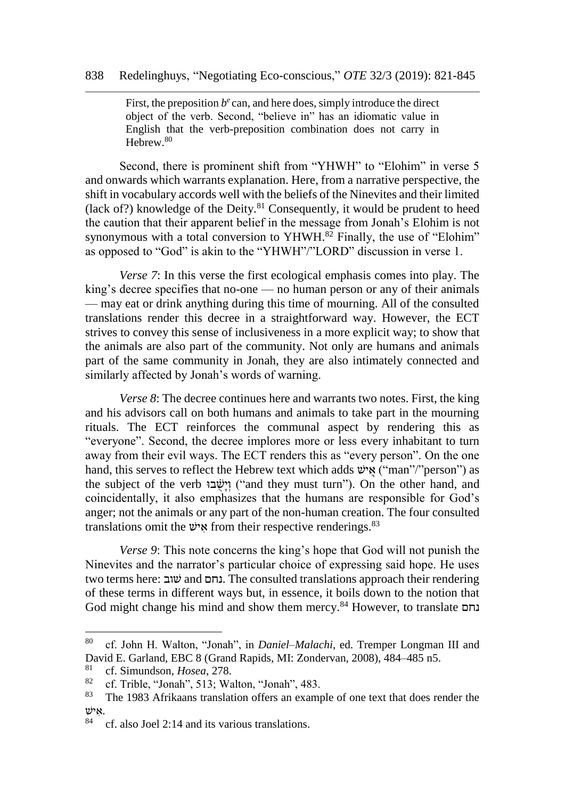First, the preposition  $b^e$  can, and here does, simply introduce the direct object of the verb. Second, "believe in" has an idiomatic value in English that the verb-preposition combination does not carry in Hebrew.<sup>80</sup>

Second, there is prominent shift from "YHWH" to "Elohim" in verse 5 and onwards which warrants explanation. Here, from a narrative perspective, the shift in vocabulary accords well with the beliefs of the Ninevites and their limited (lack of?) knowledge of the Deity. $81$  Consequently, it would be prudent to heed the caution that their apparent belief in the message from Jonah's Elohim is not synonymous with a total conversion to YHWH. $82$  Finally, the use of "Elohim" as opposed to "God" is akin to the "YHWH"/"LORD" discussion in verse 1.

*Verse 7*: In this verse the first ecological emphasis comes into play. The king's decree specifies that no-one — no human person or any of their animals — may eat or drink anything during this time of mourning. All of the consulted translations render this decree in a straightforward way. However, the ECT strives to convey this sense of inclusiveness in a more explicit way; to show that the animals are also part of the community. Not only are humans and animals part of the same community in Jonah, they are also intimately connected and similarly affected by Jonah's words of warning.

*Verse 8*: The decree continues here and warrants two notes. First, the king and his advisors call on both humans and animals to take part in the mourning rituals. The ECT reinforces the communal aspect by rendering this as "everyone". Second, the decree implores more or less every inhabitant to turn away from their evil ways. The ECT renders this as "every person". On the one hand, this serves to reflect the Hebrew text which adds "אֵישׁ ("man"/"person") as the subject of the verb וֵישָׂבוּ ("and they must turn"). On the other hand, and coincidentally, it also emphasizes that the humans are responsible for God's anger; not the animals or any part of the non-human creation. The four consulted translations omit the  $\nu$ <sup>33</sup> from their respective renderings.<sup>83</sup>

*Verse 9*: This note concerns the king's hope that God will not punish the Ninevites and the narrator's particular choice of expressing said hope. He uses two terms here: שובׁ and נחם. The consulted translations approach their rendering of these terms in different ways but, in essence, it boils down to the notion that God might change his mind and show them mercy.<sup>84</sup> However, to translate נחם

<sup>80</sup> cf. John H. Walton, "Jonah", in *Daniel–Malachi*, ed. Tremper Longman III and David E. Garland, EBC 8 (Grand Rapids, MI: Zondervan, 2008), 484–485 n5.

<sup>&</sup>lt;sup>81</sup> cf. Simundson, *Hosea*, 278.<br><sup>82</sup> cf. Trible "Joneb", 513: We

<sup>&</sup>lt;sup>82</sup> cf. Trible, "Jonah", 513; Walton, "Jonah", 483.<br><sup>83</sup> The 1983 Afrikaans translation offers an example

The 1983 Afrikaans translation offers an example of one text that does render the .א יׁש

<sup>84</sup> cf. also Joel 2:14 and its various translations.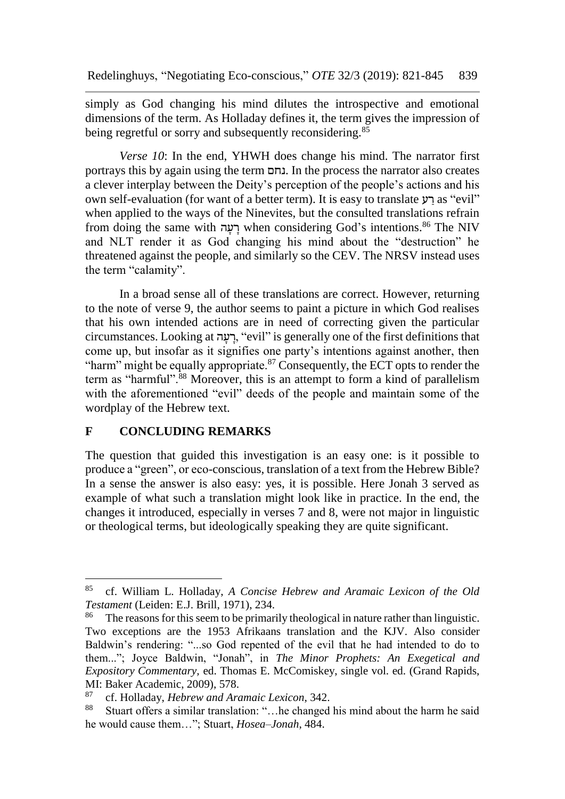simply as God changing his mind dilutes the introspective and emotional dimensions of the term. As Holladay defines it, the term gives the impression of being regretful or sorry and subsequently reconsidering.<sup>85</sup>

*Verse 10*: In the end, YHWH does change his mind. The narrator first portrays this by again using the term נחם. In the process the narrator also creates a clever interplay between the Deity's perception of the people's actions and his own self-evaluation (for want of a better term). It is easy to translate רע as "evil" when applied to the ways of the Ninevites, but the consulted translations refrain from doing the same with רעה when considering God's intentions.<sup>86</sup> The NIV and NLT render it as God changing his mind about the "destruction" he threatened against the people, and similarly so the CEV. The NRSV instead uses the term "calamity".

In a broad sense all of these translations are correct. However, returning to the note of verse 9, the author seems to paint a picture in which God realises that his own intended actions are in need of correcting given the particular circumstances. Looking at רעה, "evil" is generally one of the first definitions that come up, but insofar as it signifies one party's intentions against another, then "harm" might be equally appropriate.<sup>87</sup> Consequently, the ECT opts to render the term as "harmful".<sup>88</sup> Moreover, this is an attempt to form a kind of parallelism with the aforementioned "evil" deeds of the people and maintain some of the wordplay of the Hebrew text.

#### **F CONCLUDING REMARKS**

The question that guided this investigation is an easy one: is it possible to produce a "green", or eco-conscious, translation of a text from the Hebrew Bible? In a sense the answer is also easy: yes, it is possible. Here Jonah 3 served as example of what such a translation might look like in practice. In the end, the changes it introduced, especially in verses 7 and 8, were not major in linguistic or theological terms, but ideologically speaking they are quite significant.

<sup>85</sup> cf. William L. Holladay, *A Concise Hebrew and Aramaic Lexicon of the Old Testament* (Leiden: E.J. Brill, 1971), 234.

<sup>&</sup>lt;sup>86</sup> The reasons for this seem to be primarily theological in nature rather than linguistic. Two exceptions are the 1953 Afrikaans translation and the KJV. Also consider Baldwin's rendering: "...so God repented of the evil that he had intended to do to them..."; Joyce Baldwin, "Jonah", in *The Minor Prophets: An Exegetical and Expository Commentary,* ed. Thomas E. McComiskey, single vol. ed. (Grand Rapids, MI: Baker Academic, 2009), 578.

<sup>87</sup> cf. Holladay, *Hebrew and Aramaic Lexicon*, 342.

Stuart offers a similar translation: "... he changed his mind about the harm he said he would cause them…"; Stuart, *Hosea–Jonah*, 484.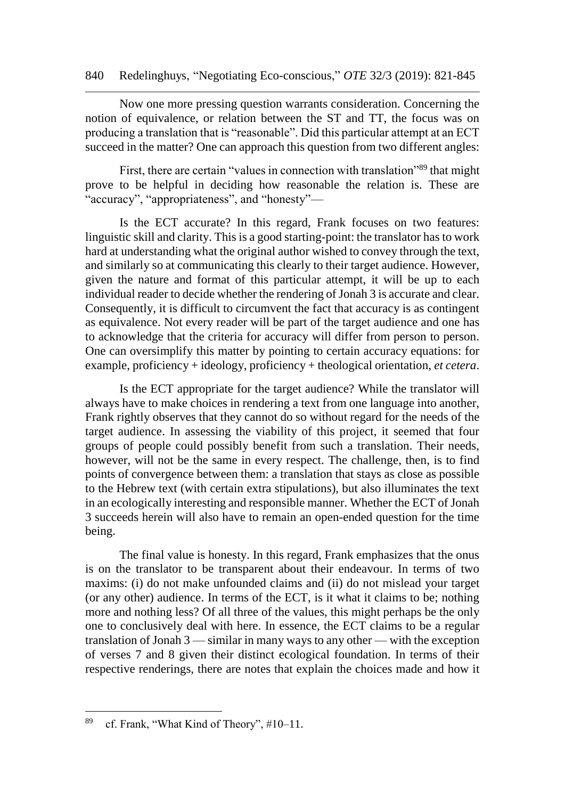Now one more pressing question warrants consideration. Concerning the notion of equivalence, or relation between the ST and TT, the focus was on producing a translation that is "reasonable". Did this particular attempt at an ECT succeed in the matter? One can approach this question from two different angles:

First, there are certain "values in connection with translation"<sup>89</sup> that might prove to be helpful in deciding how reasonable the relation is. These are "accuracy", "appropriateness", and "honesty"—

Is the ECT accurate? In this regard, Frank focuses on two features: linguistic skill and clarity. This is a good starting-point: the translator has to work hard at understanding what the original author wished to convey through the text, and similarly so at communicating this clearly to their target audience. However, given the nature and format of this particular attempt, it will be up to each individual reader to decide whether the rendering of Jonah 3 is accurate and clear. Consequently, it is difficult to circumvent the fact that accuracy is as contingent as equivalence. Not every reader will be part of the target audience and one has to acknowledge that the criteria for accuracy will differ from person to person. One can oversimplify this matter by pointing to certain accuracy equations: for example, proficiency + ideology, proficiency + theological orientation, *et cetera*.

Is the ECT appropriate for the target audience? While the translator will always have to make choices in rendering a text from one language into another, Frank rightly observes that they cannot do so without regard for the needs of the target audience. In assessing the viability of this project, it seemed that four groups of people could possibly benefit from such a translation. Their needs, however, will not be the same in every respect. The challenge, then, is to find points of convergence between them: a translation that stays as close as possible to the Hebrew text (with certain extra stipulations), but also illuminates the text in an ecologically interesting and responsible manner. Whether the ECT of Jonah 3 succeeds herein will also have to remain an open-ended question for the time being.

The final value is honesty. In this regard, Frank emphasizes that the onus is on the translator to be transparent about their endeavour. In terms of two maxims: (i) do not make unfounded claims and (ii) do not mislead your target (or any other) audience. In terms of the ECT, is it what it claims to be; nothing more and nothing less? Of all three of the values, this might perhaps be the only one to conclusively deal with here. In essence, the ECT claims to be a regular translation of Jonah 3 — similar in many ways to any other — with the exception of verses 7 and 8 given their distinct ecological foundation. In terms of their respective renderings, there are notes that explain the choices made and how it

<sup>&</sup>lt;sup>89</sup> cf. Frank, "What Kind of Theory",  $\#10-11$ .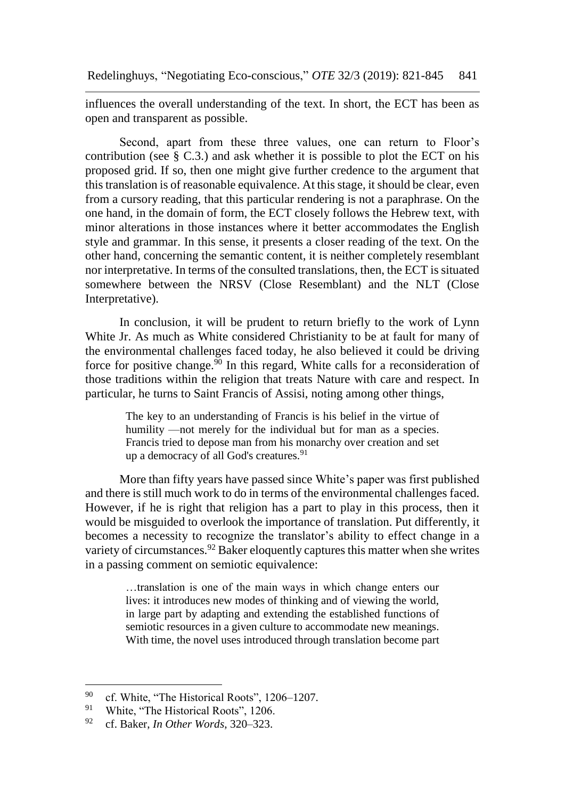influences the overall understanding of the text. In short, the ECT has been as open and transparent as possible.

Second, apart from these three values, one can return to Floor's contribution (see  $\S$  C.3.) and ask whether it is possible to plot the ECT on his proposed grid. If so, then one might give further credence to the argument that this translation is of reasonable equivalence. At this stage, it should be clear, even from a cursory reading, that this particular rendering is not a paraphrase. On the one hand, in the domain of form, the ECT closely follows the Hebrew text, with minor alterations in those instances where it better accommodates the English style and grammar. In this sense, it presents a closer reading of the text. On the other hand, concerning the semantic content, it is neither completely resemblant nor interpretative. In terms of the consulted translations, then, the ECT is situated somewhere between the NRSV (Close Resemblant) and the NLT (Close Interpretative).

In conclusion, it will be prudent to return briefly to the work of Lynn White Jr. As much as White considered Christianity to be at fault for many of the environmental challenges faced today, he also believed it could be driving force for positive change.<sup>90</sup> In this regard, White calls for a reconsideration of those traditions within the religion that treats Nature with care and respect. In particular, he turns to Saint Francis of Assisi, noting among other things,

> The key to an understanding of Francis is his belief in the virtue of humility —not merely for the individual but for man as a species. Francis tried to depose man from his monarchy over creation and set up a democracy of all God's creatures. $91$

More than fifty years have passed since White's paper was first published and there is still much work to do in terms of the environmental challenges faced. However, if he is right that religion has a part to play in this process, then it would be misguided to overlook the importance of translation. Put differently, it becomes a necessity to recognize the translator's ability to effect change in a variety of circumstances.<sup>92</sup> Baker eloquently captures this matter when she writes in a passing comment on semiotic equivalence:

> …translation is one of the main ways in which change enters our lives: it introduces new modes of thinking and of viewing the world, in large part by adapting and extending the established functions of semiotic resources in a given culture to accommodate new meanings. With time, the novel uses introduced through translation become part

<sup>&</sup>lt;sup>90</sup> cf. White, "The Historical Roots", 1206–1207.<br><sup>91</sup> White, "The Historical Roots", 1206

<sup>&</sup>lt;sup>91</sup> White, "The Historical Roots", 1206.<br><sup>92</sup> of Baker In Other Words, 320, 323

<sup>92</sup> cf. Baker, *In Other Words*, 320–323.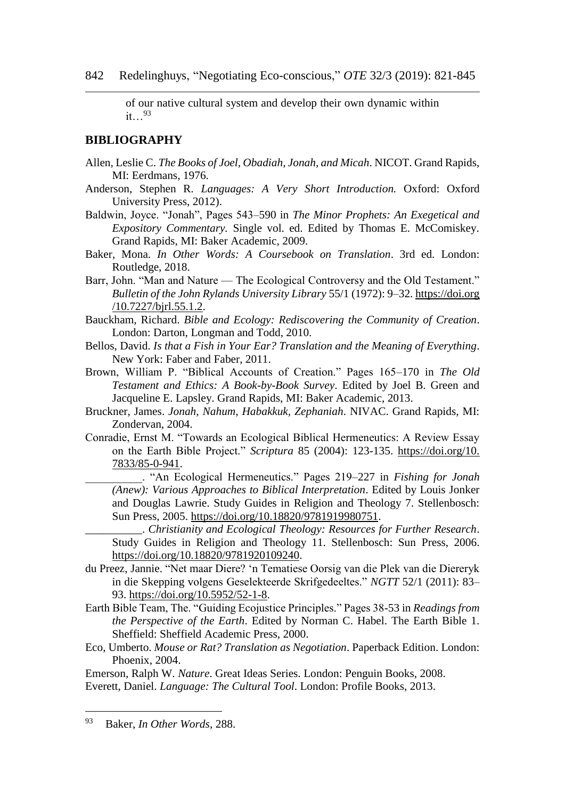of our native cultural system and develop their own dynamic within it…<sup>93</sup>

#### **BIBLIOGRAPHY**

- Allen, Leslie C. *The Books of Joel, Obadiah, Jonah, and Micah*. NICOT. Grand Rapids, MI: Eerdmans, 1976.
- Anderson, Stephen R. *Languages: A Very Short Introduction.* Oxford: Oxford University Press, 2012).
- Baldwin, Joyce. "Jonah", Pages 543–590 in *The Minor Prophets: An Exegetical and Expository Commentary.* Single vol. ed. Edited by Thomas E. McComiskey. Grand Rapids, MI: Baker Academic, 2009.
- Baker, Mona. *In Other Words: A Coursebook on Translation*. 3rd ed. London: Routledge, 2018.
- Barr, John. "Man and Nature The Ecological Controversy and the Old Testament." *Bulletin of the John Rylands University Library* 55/1 (1972): 9–32. https://doi.org /10.7227/bjrl.55.1.2.
- Bauckham, Richard. *Bible and Ecology: Rediscovering the Community of Creation*. London: Darton, Longman and Todd, 2010.
- Bellos, David. *Is that a Fish in Your Ear? Translation and the Meaning of Everything*. New York: Faber and Faber, 2011.
- Brown, William P. "Biblical Accounts of Creation." Pages 165–170 in *The Old Testament and Ethics: A Book-by-Book Survey*. Edited by Joel B. Green and Jacqueline E. Lapsley. Grand Rapids, MI: Baker Academic, 2013.
- Bruckner, James. *Jonah, Nahum, Habakkuk, Zephaniah*. NIVAC. Grand Rapids, MI: Zondervan, 2004.
- Conradie, Ernst M. "Towards an Ecological Biblical Hermeneutics: A Review Essay on the Earth Bible Project." *Scriptura* 85 (2004): 123-135. [https://doi.org/10.](https://doi.org/10.%207833/85-0-941)  [7833/85-0-941.](https://doi.org/10.%207833/85-0-941)
	- \_\_\_\_\_\_\_\_\_\_. "An Ecological Hermeneutics." Pages 219–227 in *Fishing for Jonah (Anew): Various Approaches to Biblical Interpretation*. Edited by Louis Jonker and Douglas Lawrie. Study Guides in Religion and Theology 7. Stellenbosch: Sun Press, 2005. [https://doi.org/10.18820/9781919980751.](https://doi.org/10.18820/9781919980751)
	- \_\_\_\_\_\_\_\_\_\_. *Christianity and Ecological Theology: Resources for Further Research*. Study Guides in Religion and Theology 11. Stellenbosch: Sun Press, 2006. [https://doi.org/10.18820/9781920109240.](https://doi.org/10.18820/9781920109240)
- du Preez, Jannie. "Net maar Diere? 'n Tematiese Oorsig van die Plek van die Diereryk in die Skepping volgens Geselekteerde Skrifgedeeltes." *NGTT* 52/1 (2011): 83– 93. [https://doi.org/10.5952/52-1-8.](https://doi.org/10.5952/52-1-8)
- Earth Bible Team, The. "Guiding Ecojustice Principles." Pages 38-53 in *Readings from the Perspective of the Earth*. Edited by Norman C. Habel. The Earth Bible 1. Sheffield: Sheffield Academic Press, 2000.
- Eco, Umberto. *Mouse or Rat? Translation as Negotiation*. Paperback Edition. London: Phoenix, 2004.

Emerson, Ralph W. *Nature*. Great Ideas Series. London: Penguin Books, 2008. Everett, Daniel. *Language: The Cultural Tool*. London: Profile Books, 2013.

<sup>93</sup> Baker, *In Other Words*, 288.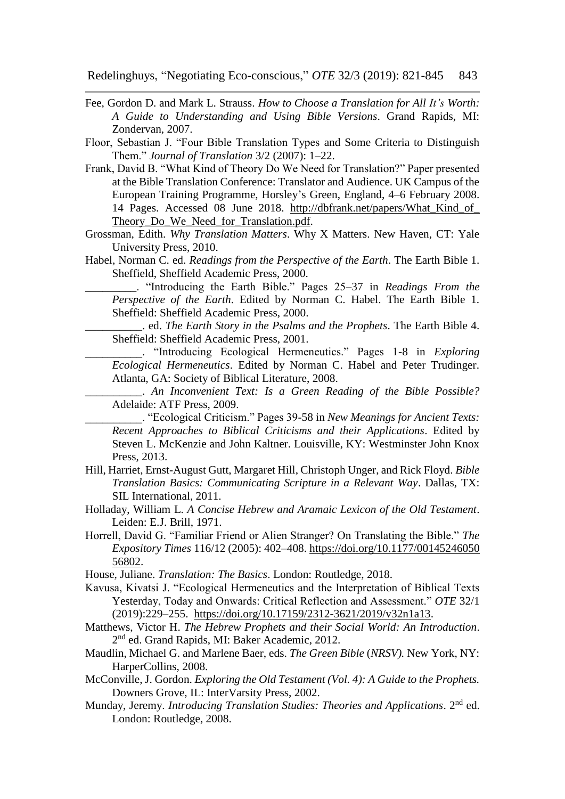Fee, Gordon D. and Mark L. Strauss. *How to Choose a Translation for All It's Worth: A Guide to Understanding and Using Bible Versions*. Grand Rapids, MI: Zondervan, 2007.

Floor, Sebastian J. "Four Bible Translation Types and Some Criteria to Distinguish Them." *Journal of Translation* 3/2 (2007): 1–22.

- Frank, David B. "What Kind of Theory Do We Need for Translation?" Paper presented at the Bible Translation Conference: Translator and Audience. UK Campus of the European Training Programme, Horsley's Green, England, 4–6 February 2008. 14 Pages. Accessed 08 June 2018. [http://dbfrank.net/papers/What\\_Kind\\_of\\_](http://dbfrank.net/papers/What_Kind_of_%20Theory_Do_We_Need_for_Translation.pdf)  Theory Do We Need for Translation.pdf.
- Grossman, Edith. *Why Translation Matters*. Why X Matters. New Haven, CT: Yale University Press, 2010.
- Habel, Norman C. ed. *Readings from the Perspective of the Earth*. The Earth Bible 1. Sheffield, Sheffield Academic Press, 2000.

\_\_\_\_\_\_\_\_\_. "Introducing the Earth Bible." Pages 25–37 in *Readings From the Perspective of the Earth*. Edited by Norman C. Habel. The Earth Bible 1. Sheffield: Sheffield Academic Press, 2000.

\_\_\_\_\_\_\_\_\_\_. ed. *The Earth Story in the Psalms and the Prophets*. The Earth Bible 4. Sheffield: Sheffield Academic Press, 2001.

\_\_\_\_\_\_\_\_\_\_. "Introducing Ecological Hermeneutics." Pages 1-8 in *Exploring Ecological Hermeneutics*. Edited by Norman C. Habel and Peter Trudinger. Atlanta, GA: Society of Biblical Literature, 2008.

\_\_\_\_\_\_\_\_\_\_. *An Inconvenient Text: Is a Green Reading of the Bible Possible?* Adelaide: ATF Press, 2009.

\_\_\_\_\_\_\_\_\_\_. "Ecological Criticism." Pages 39-58 in *New Meanings for Ancient Texts: Recent Approaches to Biblical Criticisms and their Applications*. Edited by Steven L. McKenzie and John Kaltner. Louisville, KY: Westminster John Knox Press, 2013.

- Hill, Harriet, Ernst-August Gutt, Margaret Hill, Christoph Unger, and Rick Floyd. *Bible Translation Basics: Communicating Scripture in a Relevant Way*. Dallas, TX: SIL International, 2011.
- Holladay, William L. *A Concise Hebrew and Aramaic Lexicon of the Old Testament*. Leiden: E.J. Brill, 1971.
- Horrell, David G. "Familiar Friend or Alien Stranger? On Translating the Bible." *The Expository Times* 116/12 (2005): 402–408. [https://doi.org/10.1177/00145246050](https://doi.org/10.1177/00145246050%2056802)  [56802.](https://doi.org/10.1177/00145246050%2056802)
- House, Juliane. *Translation: The Basics*. London: Routledge, 2018.
- Kavusa, Kivatsi J. "Ecological Hermeneutics and the Interpretation of Biblical Texts Yesterday, Today and Onwards: Critical Reflection and Assessment." *OTE* 32/1 (2019):229–255. [https://doi.org/10.17159/2312-3621/2019/v32n1a13.](https://doi.org/10.17159/2312-3621/2019/v32n1a13)
- Matthews, Victor H. *The Hebrew Prophets and their Social World: An Introduction*. 2<sup>nd</sup> ed. Grand Rapids, MI: Baker Academic, 2012.
- Maudlin, Michael G. and Marlene Baer, eds. *The Green Bible* (*NRSV).* New York, NY: HarperCollins, 2008.
- McConville, J. Gordon. *Exploring the Old Testament (Vol. 4): A Guide to the Prophets.* Downers Grove, IL: InterVarsity Press, 2002.
- Munday, Jeremy. *Introducing Translation Studies: Theories and Applications*. 2nd ed. London: Routledge, 2008.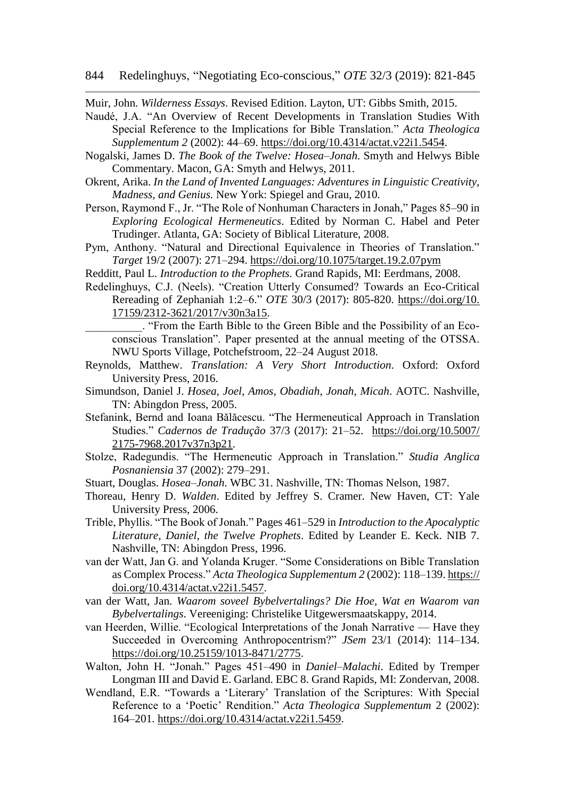Muir, John. *Wilderness Essays*. Revised Edition. Layton, UT: Gibbs Smith, 2015.

- Naudé, J.A. "An Overview of Recent Developments in Translation Studies With Special Reference to the Implications for Bible Translation." *Acta Theologica Supplementum 2* (2002): 44–69. [https://doi.org/10.4314/actat.v22i1.5454.](https://doi.org/10.4314/actat.v22i1.5454)
- Nogalski, James D. *The Book of the Twelve: Hosea–Jonah*. Smyth and Helwys Bible Commentary. Macon, GA: Smyth and Helwys, 2011.
- Okrent, Arika. *In the Land of Invented Languages: Adventures in Linguistic Creativity, Madness, and Genius.* New York: Spiegel and Grau, 2010.
- Person, Raymond F., Jr. "The Role of Nonhuman Characters in Jonah," Pages 85–90 in *Exploring Ecological Hermeneutics*. Edited by Norman C. Habel and Peter Trudinger. Atlanta, GA: Society of Biblical Literature, 2008.
- Pym, Anthony. "Natural and Directional Equivalence in Theories of Translation." *Target* 19/2 (2007): 271–294.<https://doi.org/10.1075/target.19.2.07pym>
- Redditt, Paul L. *Introduction to the Prophets.* Grand Rapids, MI: Eerdmans, 2008.
- Redelinghuys, C.J. (Neels). "Creation Utterly Consumed? Towards an Eco-Critical Rereading of Zephaniah 1:2–6." *OTE* 30/3 (2017): 805-820. [https://doi.org/10.](https://doi.org/10.%2017159/2312-3621/2017/v30n3a15)  [17159/2312-3621/2017/v30n3a15.](https://doi.org/10.%2017159/2312-3621/2017/v30n3a15)
	- \_\_\_\_\_\_\_\_\_\_. "From the Earth Bible to the Green Bible and the Possibility of an Ecoconscious Translation". Paper presented at the annual meeting of the OTSSA. NWU Sports Village, Potchefstroom, 22–24 August 2018.
- Reynolds, Matthew. *Translation: A Very Short Introduction*. Oxford: Oxford University Press, 2016.
- Simundson, Daniel J. *Hosea, Joel, Amos, Obadiah, Jonah, Micah*. AOTC. Nashville, TN: Abingdon Press, 2005.
- Stefanink, Bernd and Ioana Bălăcescu. "The Hermeneutical Approach in Translation Studies." *Cadernos de Tradução* 37/3 (2017): 21–52. [https://doi.org/10.5007/](https://doi.org/10.5007/%202175-7968.2017v37n3p21)  [2175-7968.2017v37n3p21.](https://doi.org/10.5007/%202175-7968.2017v37n3p21)
- Stolze, Radegundis. "The Hermeneutic Approach in Translation." *Studia Anglica Posnaniensia* 37 (2002): 279–291.
- Stuart, Douglas. *Hosea–Jonah*. WBC 31. Nashville, TN: Thomas Nelson, 1987.
- Thoreau, Henry D. *Walden*. Edited by Jeffrey S. Cramer. New Haven, CT: Yale University Press, 2006.
- Trible, Phyllis. "The Book of Jonah." Pages 461–529 in *Introduction to the Apocalyptic Literature, Daniel, the Twelve Prophets*. Edited by Leander E. Keck. NIB 7. Nashville, TN: Abingdon Press, 1996.
- van der Watt, Jan G. and Yolanda Kruger. "Some Considerations on Bible Translation as Complex Process." *Acta Theologica Supplementum 2* (2002): 118–139. https:// doi.org/10.4314/actat.v22i1.5457.
- van der Watt, Jan. *Waarom soveel Bybelvertalings? Die Hoe, Wat en Waarom van Bybelvertalings*. Vereeniging: Christelike Uitgewersmaatskappy, 2014.
- van Heerden, Willie. "Ecological Interpretations of the Jonah Narrative Have they Succeeded in Overcoming Anthropocentrism?" *JSem* 23/1 (2014): 114–134. [https://doi.org/10.25159/1013-8471/2775.](https://doi.org/10.25159/1013-8471/2775)
- Walton, John H. "Jonah." Pages 451–490 in *Daniel–Malachi*. Edited by Tremper Longman III and David E. Garland. EBC 8. Grand Rapids, MI: Zondervan, 2008.
- Wendland, E.R. "Towards a 'Literary' Translation of the Scriptures: With Special Reference to a 'Poetic' Rendition." *Acta Theologica Supplementum* 2 (2002): 164–201. [https://doi.org/10.4314/actat.v22i1.5459.](https://doi.org/10.4314/actat.v22i1.5459)